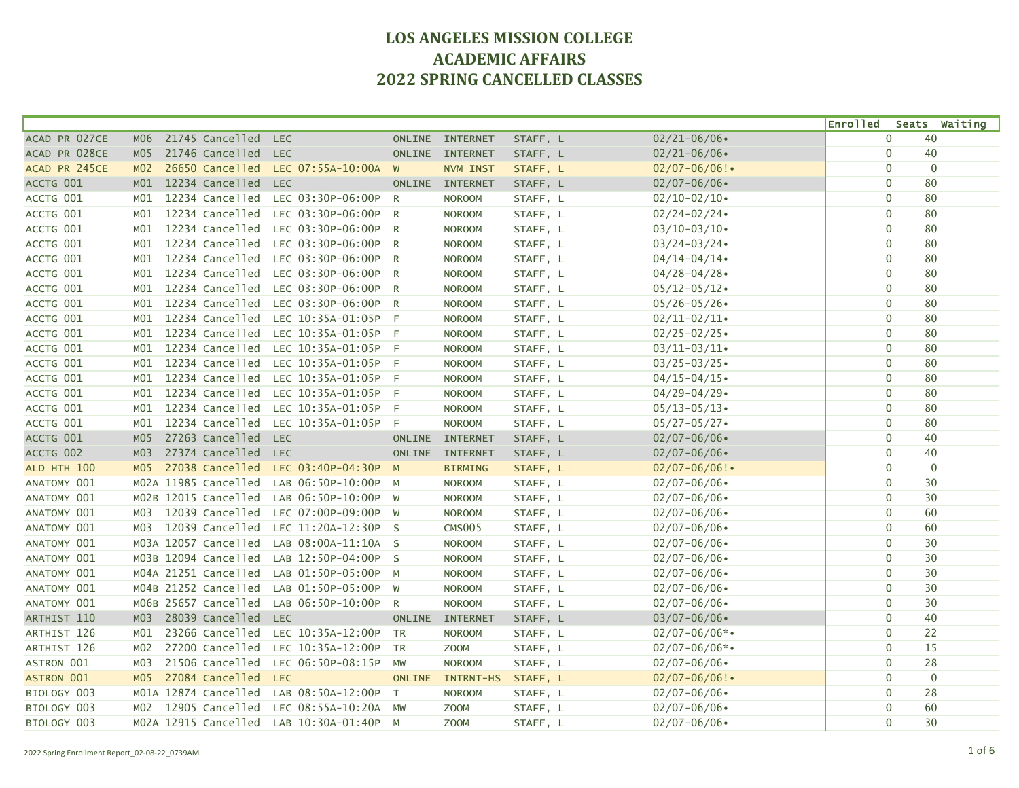|                   |                 |                      |                      |               |                 |          |                    | <b>Enrolled</b> | Seats Waiting |
|-------------------|-----------------|----------------------|----------------------|---------------|-----------------|----------|--------------------|-----------------|---------------|
| ACAD PR 027CE     | <b>MO6</b>      | 21745 Cancelled      | <b>LEC</b>           |               | ONLINE INTERNET | STAFF, L | $02/21 - 06/06$    | $\mathbf{0}$    | 40            |
| ACAD PR 028CE     | M <sub>05</sub> | 21746 Cancelled      | <b>LEC</b>           |               | ONLINE INTERNET | STAFF, L | $02/21 - 06/06$    | $\pmb{0}$       | 40            |
| ACAD PR 245CE     | MO2             | 26650 Cancelled      | LEC 07:55A-10:00A    | W             | NVM INST        | STAFF, L | $02/07 - 06/06!$   | $\mathbf{0}$    | $\mathbf{0}$  |
| ACCTG 001         | M <sub>01</sub> | 12234 Cancelled      | <b>LEC</b>           |               | ONLINE INTERNET | STAFF, L | $02/07 - 06/06$    | $\mathbf{0}$    | 80            |
| ACCTG 001         | MO1             | 12234 Cancelled      | LEC 03:30P-06:00P    | R             | <b>NOROOM</b>   | STAFF, L | $02/10 - 02/10$    | $\mathbf 0$     | 80            |
| ACCTG 001         | MO1             | 12234 Cancelled      | LEC 03:30P-06:00P    | $\mathsf{R}$  | <b>NOROOM</b>   | STAFF, L | $02/24 - 02/24$    | $\mathbf 0$     | 80            |
| ACCTG 001         | M01             | 12234 Cancelled      | LEC 03:30P-06:00P    | R             | <b>NOROOM</b>   | STAFF, L | $03/10 - 03/10$    | $\mathbf{0}$    | 80            |
| ACCTG 001         | MO1             | 12234 Cancelled      | LEC 03:30P-06:00P    | R             | <b>NOROOM</b>   | STAFF, L | $03/24 - 03/24$    | $\mathbf{0}$    | 80            |
| ACCTG 001         | MO1             | 12234 Cancelled      | LEC 03:30P-06:00P    | R             | <b>NOROOM</b>   | STAFF, L | $04/14 - 04/14$    | $\mathbf{0}$    | 80            |
| ACCTG 001         | M01             | 12234 Cancelled      | LEC 03:30P-06:00P    | R             | <b>NOROOM</b>   | STAFF, L | $04/28 - 04/28$    | $\mathbf{0}$    | 80            |
| ACCTG 001         | M01             | 12234 Cancelled      | LEC 03:30P-06:00P    | R             | <b>NOROOM</b>   | STAFF, L | $05/12 - 05/12$    | $\mathbf 0$     | 80            |
| ACCTG 001         | MO1             | 12234 Cancelled      | LEC 03:30P-06:00P    | R             | <b>NOROOM</b>   | STAFF, L | $05/26 - 05/26$    | $\mathbf 0$     | 80            |
| ACCTG 001         | MO1             | 12234 Cancelled      | LEC 10:35A-01:05P    | $-F$          | <b>NOROOM</b>   | STAFF, L | $02/11 - 02/11$    | $\mathbf{0}$    | 80            |
| ACCTG 001         | MO1             | 12234 Cancelled      | LEC 10:35A-01:05P F  |               | <b>NOROOM</b>   | STAFF, L | $02/25 - 02/25$    | $\mathbf 0$     | 80            |
| ACCTG 001         | MO1             | 12234 Cancelled      | LEC 10:35A-01:05P F  |               | <b>NOROOM</b>   | STAFF, L | $03/11 - 03/11$    | $\mathbf 0$     | 80            |
| ACCTG 001         | MO1             | 12234 Cancelled      | LEC 10:35A-01:05P    | - F           | <b>NOROOM</b>   | STAFF, L | $03/25 - 03/25$    | $\mathbf 0$     | 80            |
| ACCTG 001         | M <sub>01</sub> | 12234 Cancelled      | LEC 10:35A-01:05P    | $-F$          | <b>NOROOM</b>   | STAFF, L | $04/15 - 04/15$    | $\mathbf 0$     | 80            |
| ACCTG 001         | M <sub>01</sub> | 12234 Cancelled      | LEC 10:35A-01:05P F  |               | <b>NOROOM</b>   | STAFF, L | $04/29 - 04/29$    | $\mathbf 0$     | 80            |
| ACCTG 001         | MO1             | 12234 Cancelled      | LEC 10:35A-01:05P F  |               | <b>NOROOM</b>   | STAFF, L | $05/13 - 05/13$    | $\mathbf{0}$    | 80            |
| ACCTG 001         | MO1             | 12234 Cancelled      | LEC 10:35A-01:05P F  |               | <b>NOROOM</b>   | STAFF, L | $05/27 - 05/27$    | $\mathbf 0$     | 80            |
| ACCTG 001         | M <sub>05</sub> | 27263 Cancelled      | <b>LEC</b>           | <b>ONLINE</b> | <b>INTERNET</b> | STAFF, L | $02/07 - 06/06$    | $\mathbf 0$     | 40            |
| ACCTG 002         | M <sub>03</sub> | 27374 Cancelled      | <b>LEC</b>           |               | ONLINE INTERNET | STAFF, L | $02/07 - 06/06$    | $\mathbf 0$     | 40            |
| ALD HTH 100       | M <sub>05</sub> | 27038 Cancelled      | LEC 03:40P-04:30P M  |               | <b>BIRMING</b>  | STAFF, L | $02/07 - 06/06!$   | $\mathbf 0$     | $\mathbf{0}$  |
| ANATOMY 001       |                 | MO2A 11985 Cancelled | LAB 06:50P-10:00P    | M             | <b>NOROOM</b>   | STAFF, L | $02/07 - 06/06$    | $\mathbf{0}$    | 30            |
| ANATOMY 001       |                 | MO2B 12015 Cancelled | LAB 06:50P-10:00P    | <b>W</b>      | <b>NOROOM</b>   | STAFF, L | $02/07 - 06/06$    | $\mathbf 0$     | 30            |
| ANATOMY 001       | MO3             | 12039 Cancelled      | LEC 07:00P-09:00P W  |               | <b>NOROOM</b>   | STAFF, L | $02/07 - 06/06$    | $\mathbf{0}$    | 60            |
| ANATOMY 001       | MO3             | 12039 Cancelled      | LEC 11:20A-12:30P    | <b>S</b>      | <b>CMS005</b>   | STAFF, L | $02/07 - 06/06$    | $\mathbf{0}$    | 60            |
| ANATOMY 001       |                 | MO3A 12057 Cancelled | LAB 08:00A-11:10A S  |               | <b>NOROOM</b>   | STAFF, L | $02/07 - 06/06$    | $\mathbf 0$     | 30            |
| ANATOMY 001       |                 | MO3B 12094 Cancelled | LAB 12:50P-04:00P S  |               | <b>NOROOM</b>   | STAFF, L | $02/07 - 06/06$    | $\mathbf{0}$    | 30            |
| ANATOMY 001       |                 | M04A 21251 Cancelled | LAB 01:50P-05:00P    | $M_{\odot}$   | <b>NOROOM</b>   | STAFF, L | $02/07 - 06/06$    | $\mathbf{0}$    | 30            |
| ANATOMY 001       |                 | MO4B 21252 Cancelled | LAB 01:50P-05:00P    | W             | <b>NOROOM</b>   | STAFF, L | $02/07 - 06/06$    | $\mathbf{0}$    | 30            |
| ANATOMY 001       |                 | MO6B 25657 Cancelled | LAB 06:50P-10:00P    | R             | <b>NOROOM</b>   | STAFF, L | $02/07 - 06/06$    | $\mathbf{0}$    | 30            |
| ARTHIST 110       | M <sub>03</sub> | 28039 Cancelled      | <b>LEC</b>           | ONLINE        | <b>INTERNET</b> | STAFF, L | $03/07 - 06/06$    | $\mathbf{0}$    | 40            |
| ARTHIST 126       | MO1             | 23266 Cancelled      | LEC 10:35A-12:00P    | <b>TR</b>     | <b>NOROOM</b>   | STAFF, L | $02/07 - 06/06$ *• | $\mathbf 0$     | 22            |
| ARTHIST 126       | M02             | 27200 Cancelled      | LEC 10:35A-12:00P    | <b>TR</b>     | <b>ZOOM</b>     | STAFF, L | $02/07 - 06/06$ *• | $\mathbf 0$     | 15            |
| ASTRON 001        | M03             | 21506 Cancelled      | LEC 06:50P-08:15P    | MW            | <b>NOROOM</b>   | STAFF, L | $02/07 - 06/06$    | $\mathbf 0$     | 28            |
| <b>ASTRON 001</b> | M <sub>05</sub> | 27084 Cancelled      | <b>LEC</b>           | <b>ONLINE</b> | INTRNT-HS       | STAFF, L | $02/07 - 06/06!$   | $\mathbf{0}$    | $\mathbf{0}$  |
| BIOLOGY 003       |                 | MO1A 12874 Cancelled | LAB 08:50A-12:00P    | $\top$        | <b>NOROOM</b>   | STAFF, L | $02/07 - 06/06$    | $\mathbf{0}$    | 28            |
| BIOLOGY 003       | MO2             | 12905 Cancelled      | LEC 08:55A-10:20A MW |               | <b>ZOOM</b>     | STAFF, L | $02/07 - 06/06$    | $\mathbf 0$     | 60            |
| BIOLOGY 003       |                 | MO2A 12915 Cancelled | LAB 10:30A-01:40P M  |               | <b>ZOOM</b>     | STAFF, L | $02/07 - 06/06$    | $\mathbf{0}$    | 30            |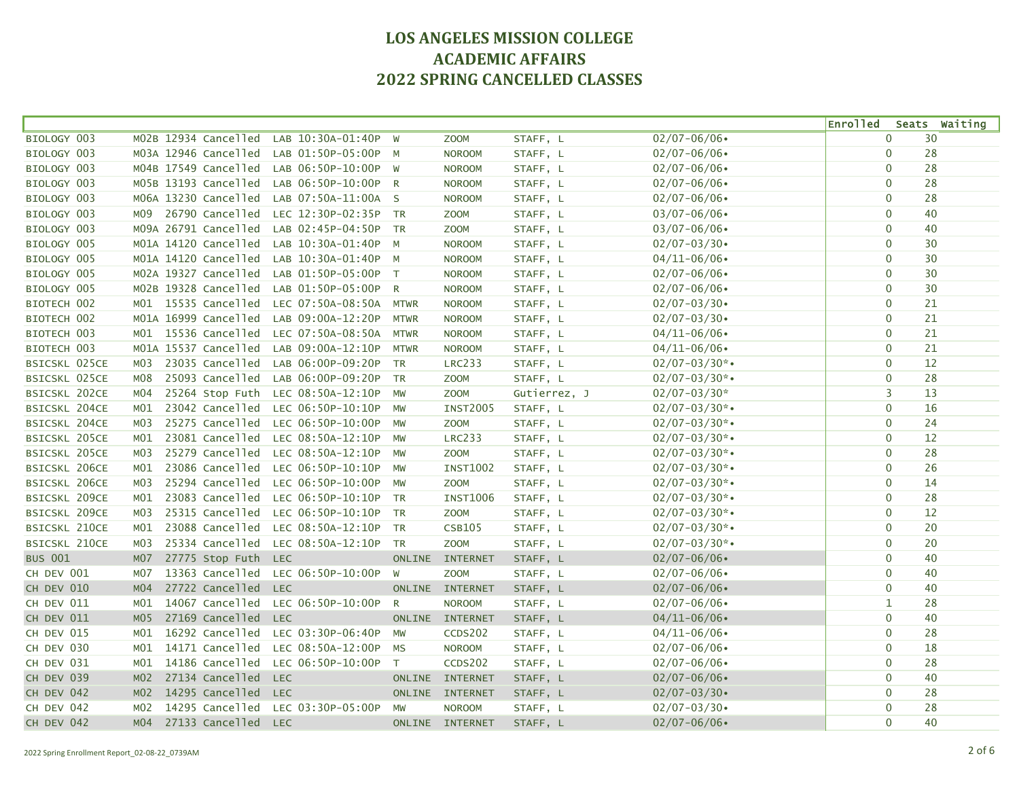|                      |                 |                      |            |                        |              |                 |              |                    | <b>Enrolled</b> |              | Seats Waiting |
|----------------------|-----------------|----------------------|------------|------------------------|--------------|-----------------|--------------|--------------------|-----------------|--------------|---------------|
| BIOLOGY 003          |                 | MO2B 12934 Cancelled |            | LAB 10:30A-01:40P      | W            | <b>ZOOM</b>     | STAFF, L     | $02/07 - 06/06$    |                 | $\Omega$     | 30            |
| BIOLOGY 003          |                 | M03A 12946 Cancelled |            | LAB 01:50P-05:00P      | <b>M</b>     | <b>NOROOM</b>   | STAFF, L     | $02/07 - 06/06$    |                 | $\mathbf 0$  | 28            |
| BIOLOGY 003          |                 | M04B 17549 Cancelled |            | LAB 06:50P-10:00P W    |              | <b>NOROOM</b>   | STAFF, L     | $02/07 - 06/06$    |                 | $\mathbf 0$  | 28            |
| BIOLOGY 003          |                 | MO5B 13193 Cancelled |            | LAB 06:50P-10:00P R    |              | <b>NOROOM</b>   | STAFF, L     | $02/07 - 06/06$    |                 | $\mathbf 0$  | 28            |
| BIOLOGY 003          |                 | M06A 13230 Cancelled |            | LAB 07:50A-11:00A S    |              | <b>NOROOM</b>   | STAFF, L     | $02/07 - 06/06$    |                 | $\mathbf 0$  | 28            |
| BIOLOGY 003          | M09             | 26790 Cancelled      |            | LEC 12:30P-02:35P TR   |              | <b>ZOOM</b>     | STAFF, L     | $03/07 - 06/06$    |                 | $\mathbf 0$  | 40            |
| BIOLOGY 003          |                 | M09A 26791 Cancelled |            | LAB 02:45P-04:50P      | <b>TR</b>    | <b>ZOOM</b>     | STAFF, L     | $03/07 - 06/06$    |                 | $\mathbf 0$  | 40            |
| BIOLOGY 005          |                 | MO1A 14120 Cancelled |            | LAB 10:30A-01:40P M    |              | <b>NOROOM</b>   | STAFF, L     | $02/07 - 03/30$    |                 | $\mathbf 0$  | 30            |
| BIOLOGY 005          |                 | MO1A 14120 Cancelled |            | LAB 10:30A-01:40P M    |              | <b>NOROOM</b>   | STAFF, L     | $04/11 - 06/06$    |                 | $\mathbf 0$  | 30            |
| BIOLOGY 005          |                 | MO2A 19327 Cancelled |            | LAB 01:50P-05:00P T    |              | <b>NOROOM</b>   | STAFF, L     | $02/07 - 06/06$    |                 | $\mathbf 0$  | 30            |
| BIOLOGY 005          |                 | MO2B 19328 Cancelled |            | LAB 01:50P-05:00P      | R            | <b>NOROOM</b>   | STAFF, L     | $02/07 - 06/06$    |                 | $\Omega$     | 30            |
| BIOTECH 002          |                 | M01 15535 Cancelled  |            | LEC 07:50A-08:50A      | <b>MTWR</b>  | <b>NOROOM</b>   | STAFF, L     | $02/07 - 03/30$    |                 | $\mathbf 0$  | 21            |
| BIOTECH 002          |                 | M01A 16999 Cancelled |            | LAB 09:00A-12:20P      | <b>MTWR</b>  | <b>NOROOM</b>   | STAFF, L     | $02/07 - 03/30$    |                 | $\mathbf 0$  | 21            |
| BIOTECH 003          |                 | M01 15536 Cancelled  |            | LEC 07:50A-08:50A MTWR |              | <b>NOROOM</b>   | STAFF, L     | $04/11 - 06/06$    |                 | $\Omega$     | 21            |
| BIOTECH 003          |                 | MO1A 15537 Cancelled |            | LAB 09:00A-12:10P MTWR |              | <b>NOROOM</b>   | STAFF, L     | $04/11 - 06/06$    |                 | $\mathbf 0$  | 21            |
| <b>BSICSKL 025CE</b> | MO3             | 23035 Cancelled      |            | LAB 06:00P-09:20P      | <b>TR</b>    | <b>LRC233</b>   | STAFF, L     | $02/07 - 03/30$ *• |                 | $\mathbf 0$  | 12            |
| <b>BSICSKL 025CE</b> | M08             | 25093 Cancelled      |            | LAB 06:00P-09:20P      | <b>TR</b>    | <b>ZOOM</b>     | STAFF, L     | $02/07 - 03/30$ *• |                 | $\mathbf 0$  | 28            |
| <b>BSICSKL 202CE</b> | M04             | 25264 Stop Futh      |            | LEC 08:50A-12:10P      | <b>MW</b>    | Z00M            | Gutierrez, J | $02/07 - 03/30*$   |                 | 3            | 13            |
| <b>BSICSKL 204CE</b> | MO1             | 23042 Cancelled      |            | LEC 06:50P-10:10P MW   |              | <b>INST2005</b> | STAFF, L     | $02/07 - 03/30$ *• |                 | $\mathbf 0$  | 16            |
| <b>BSICSKL 204CE</b> | MO3             | 25275 Cancelled      |            | LEC 06:50P-10:00P MW   |              | <b>ZOOM</b>     | STAFF, L     | $02/07 - 03/30$ *• |                 | $\mathbf{0}$ | 24            |
| BSICSKL 205CE        | MO1             | 23081 Cancelled      |            | LEC 08:50A-12:10P MW   |              | <b>LRC233</b>   | STAFF, L     | $02/07 - 03/30$ *• |                 | $\mathbf 0$  | 12            |
| <b>BSICSKL 205CE</b> | м03             | 25279 Cancelled      |            | LEC 08:50A-12:10P      | MW           | <b>ZOOM</b>     | STAFF, L     | $02/07 - 03/30$ *• |                 | $\mathbf 0$  | 28            |
| BSICSKL 206CE        | MO1             | 23086 Cancelled      |            | LEC 06:50P-10:10P      | <b>MW</b>    | <b>INST1002</b> | STAFF, L     | $02/07 - 03/30$ *• |                 | $\mathbf 0$  | 26            |
| <b>BSICSKL 206CE</b> | M03             | 25294 Cancelled      |            | LEC 06:50P-10:00P      | <b>MW</b>    | Z00M            | STAFF, L     | $02/07 - 03/30$ *• |                 | $\mathbf 0$  | 14            |
| BSICSKL 209CE        | MO1             | 23083 Cancelled      |            | LEC 06:50P-10:10P      | <b>TR</b>    | <b>INST1006</b> | STAFF, L     | $02/07 - 03/30$ *• |                 | $\mathbf 0$  | 28            |
| BSICSKL 209CE        | M03             | 25315 Cancelled      |            | LEC 06:50P-10:10P TR   |              | <b>ZOOM</b>     | STAFF, L     | $02/07 - 03/30$ *• |                 | $\mathbf 0$  | 12            |
| BSICSKL 210CE        | MO1             | 23088 Cancelled      |            | LEC 08:50A-12:10P      | <b>TR</b>    | <b>CSB105</b>   | STAFF, L     | $02/07 - 03/30$ *• |                 | $\mathbf 0$  | 20            |
| <b>BSICSKL 210CE</b> | M03             | 25334 Cancelled      |            | LEC 08:50A-12:10P TR   |              | <b>ZOOM</b>     | STAFF, L     | $02/07 - 03/30$ *• |                 | $\Omega$     | 20            |
| <b>BUS 001</b>       | <b>M07</b>      | 27775 Stop Futh      | <b>LEC</b> |                        | ONLINE       | <b>INTERNET</b> | STAFF, L     | $02/07 - 06/06$    |                 | $\Omega$     | 40            |
| CH DEV 001           | <b>M07</b>      | 13363 Cancelled      |            | LEC 06:50P-10:00P      | W            | <b>ZOOM</b>     | STAFF, L     | $02/07 - 06/06$    |                 | $\mathbf{0}$ | 40            |
| CH DEV 010           | MO4             | 27722 Cancelled      | <b>LEC</b> |                        | ONLINE       | <b>INTERNET</b> | STAFF, L     | $02/07 - 06/06$    |                 | $\Omega$     | 40            |
| CH DEV 011           | MO1             | 14067 Cancelled      |            | LEC 06:50P-10:00P      | $\mathsf{R}$ | <b>NOROOM</b>   | STAFF, L     | $02/07 - 06/06$    |                 | $\mathbf{1}$ | 28            |
| CH DEV 011           | M05             | 27169 Cancelled      | <b>LEC</b> |                        |              | ONLINE INTERNET | STAFF, L     | $04/11 - 06/06$    |                 | $\mathbf 0$  | 40            |
| CH DEV 015           | MO1             | 16292 Cancelled      |            | LEC 03:30P-06:40P      | MW           | CCDS202         | STAFF, L     | $04/11 - 06/06$    |                 | $\mathbf 0$  | 28            |
| CH DEV 030           | M01             | 14171 Cancelled      |            | LEC 08:50A-12:00P      | MS           | <b>NOROOM</b>   | STAFF, L     | $02/07 - 06/06$    |                 | $\mathbf 0$  | 18            |
| CH DEV 031           | MO1             | 14186 Cancelled      |            | LEC 06:50P-10:00P      | T            | CCDS202         | STAFF, L     | $02/07 - 06/06$    |                 | $\mathbf 0$  | 28            |
| CH DEV 039           | MO2             | 27134 Cancelled      | <b>LEC</b> |                        | ONLINE       | <b>INTERNET</b> | STAFF, L     | $02/07 - 06/06$    |                 | $\mathbf 0$  | 40            |
| CH DEV 042           | M <sub>02</sub> | 14295 Cancelled      | <b>LEC</b> |                        |              | ONLINE INTERNET | STAFF, L     | $02/07 - 03/30$    |                 | $\mathbf 0$  | 28            |
| CH DEV 042           | M02             | 14295 Cancelled      |            | LEC 03:30P-05:00P      | MW           | <b>NOROOM</b>   | STAFF, L     | $02/07 - 03/30$    |                 | $\mathbf 0$  | 28            |
| CH DEV 042           | MO4             | 27133 Cancelled      | <b>LEC</b> |                        |              | ONLINE INTERNET | STAFF, L     | $02/07 - 06/06$    |                 | $\Omega$     | 40            |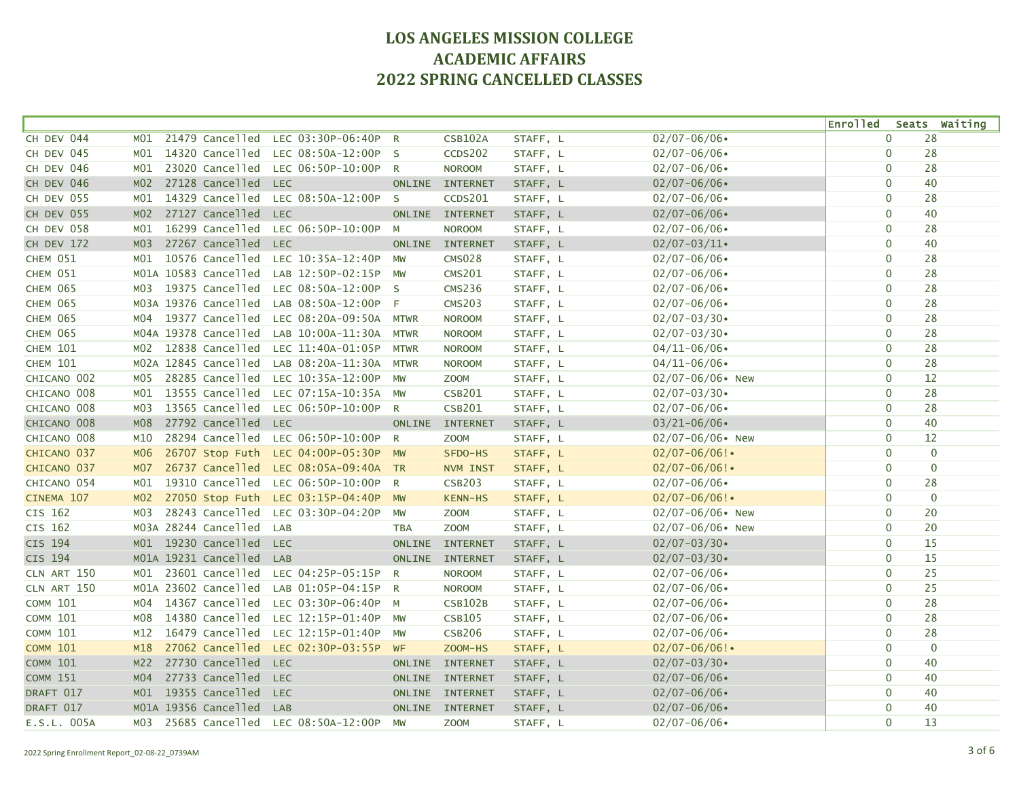|                 |                 |                      |                                   |                |                 |          |                     | <b>Enrolled</b> |              | Seats Waiting  |
|-----------------|-----------------|----------------------|-----------------------------------|----------------|-----------------|----------|---------------------|-----------------|--------------|----------------|
| CH DEV 044      | MO1             | 21479 Cancelled      | LEC 03:30P-06:40P                 | $\mathsf{R}$   | <b>CSB102A</b>  | STAFF, L | $02/07 - 06/06$     |                 | $\mathbf{0}$ | 28             |
| CH DEV 045      | MO1             | 14320 Cancelled      | LEC 08:50A-12:00P                 | - S            | CCDS202         | STAFF, L | $02/07 - 06/06$     |                 | $\mathbf 0$  | 28             |
| CH DEV 046      | MO1             | 23020 Cancelled      | LEC 06:50P-10:00P                 | $\mathsf{R}$   | <b>NOROOM</b>   | STAFF, L | $02/07 - 06/06$     |                 | $\mathbf 0$  | 28             |
| CH DEV 046      | M <sub>02</sub> | 27128 Cancelled      | <b>LEC</b>                        | <b>ONLINE</b>  | <b>INTERNET</b> | STAFF, L | $02/07 - 06/06$     |                 | $\mathbf 0$  | 40             |
| CH DEV 055      | MO1             | 14329 Cancelled      | LEC 08:50A-12:00P                 | <sub>S</sub>   | CCDS201         | STAFF, L | $02/07 - 06/06$     |                 | $\mathbf 0$  | 28             |
| CH DEV 055      | M <sub>02</sub> | 27127 Cancelled      | <b>LEC</b>                        | <b>ONLINE</b>  | <b>INTERNET</b> | STAFF, L | $02/07 - 06/06$     |                 | $\mathbf{0}$ | 40             |
| CH DEV 058      | MO1             | 16299 Cancelled      | LEC 06:50P-10:00P                 | M              | <b>NOROOM</b>   | STAFF, L | $02/07 - 06/06$     |                 | $\mathbf 0$  | 28             |
| CH DEV 172      | M <sub>03</sub> | 27267 Cancelled      | <b>LEC</b>                        | <b>ONLINE</b>  | <b>INTERNET</b> | STAFF, L | $02/07 - 03/11$     |                 | $\mathbf 0$  | 40             |
| CHEM 051        | MO1             | 10576 Cancelled      | LEC 10:35A-12:40P                 | MW             | <b>CMS028</b>   | STAFF, L | $02/07 - 06/06$     |                 | $\mathbf{0}$ | 28             |
| <b>CHEM 051</b> |                 | MO1A 10583 Cancelled | LAB 12:50P-02:15P                 | <b>MW</b>      | <b>CMS201</b>   | STAFF, L | $02/07 - 06/06$     |                 | $\mathbf 0$  | 28             |
| <b>CHEM 065</b> | MO3             | 19375 Cancelled      | LEC 08:50A-12:00P S               |                | <b>CMS236</b>   | STAFF, L | $02/07 - 06/06$     |                 | $\mathbf 0$  | 28             |
| <b>CHEM 065</b> |                 | MO3A 19376 Cancelled | LAB 08:50A-12:00P                 | - F            | <b>CMS203</b>   | STAFF, L | $02/07 - 06/06$     |                 | $\mathbf 0$  | 28             |
| CHEM 065        | M04             | 19377 Cancelled      | LEC 08:20A-09:50A                 | <b>MTWR</b>    | <b>NOROOM</b>   | STAFF, L | $02/07 - 03/30$     |                 | $\mathbf 0$  | 28             |
| CHEM 065        |                 | M04A 19378 Cancelled | LAB 10:00A-11:30A                 | <b>MTWR</b>    | <b>NOROOM</b>   | STAFF, L | $02/07 - 03/30$     |                 | $\mathbf 0$  | 28             |
| <b>CHEM 101</b> | MO2             | 12838 Cancelled      | LEC 11:40A-01:05P                 | <b>MTWR</b>    | <b>NOROOM</b>   | STAFF, L | $04/11 - 06/06$     |                 | $\Omega$     | 28             |
| <b>CHEM 101</b> |                 | MO2A 12845 Cancelled | LAB 08:20A-11:30A                 | <b>MTWR</b>    | <b>NOROOM</b>   | STAFF, L | $04/11 - 06/06$     |                 | $\mathbf 0$  | 28             |
| CHICANO 002     | MO5             | 28285 Cancelled      | LEC 10:35A-12:00P                 | <b>MW</b>      | <b>ZOOM</b>     | STAFF, L | $02/07 - 06/06$ New |                 | $\mathbf 0$  | 12             |
| CHICANO 008     | MO1             | 13555 Cancelled      | LEC 07:15A-10:35A                 | <b>MW</b>      | <b>CSB201</b>   | STAFF, L | $02/07 - 03/30$     |                 | $\mathbf 0$  | 28             |
| CHICANO 008     | M03             | 13565 Cancelled      | LEC 06:50P-10:00P                 | $\mathsf{R}$   | <b>CSB201</b>   | STAFF, L | $02/07 - 06/06$     |                 | $\mathbf 0$  | 28             |
| CHICANO 008     | M <sub>08</sub> | 27792 Cancelled      | <b>LEC</b>                        | <b>ONLINE</b>  | <b>INTERNET</b> | STAFF, L | $03/21 - 06/06$     |                 | $\mathbf{0}$ | 40             |
| CHICANO 008     | M10             | 28294 Cancelled      | LEC 06:50P-10:00P                 | $\mathsf{R}$   | <b>ZOOM</b>     | STAFF, L | $02/07 - 06/06$ New |                 | $\mathbf 0$  | 12             |
| CHICANO 037     | M06             | 26707 Stop Futh      | LEC 04:00P-05:30P MW              |                | SFDO-HS         | STAFF, L | $02/07 - 06/06!$    |                 | $\mathbf 0$  | $\mathbf 0$    |
| CHICANO 037     | M07             | 26737 Cancelled      | LEC 08:05A-09:40A TR              |                | NVM INST        | STAFF, L | $02/07 - 06/06!$    |                 | $\mathbf 0$  | $\mathbf 0$    |
| CHICANO 054     | M01             | 19310 Cancelled      | LEC 06:50P-10:00P                 | R              | <b>CSB203</b>   | STAFF, L | $02/07 - 06/06$     |                 | $\mathbf 0$  | 28             |
| CINEMA 107      | M <sub>02</sub> | 27050 Stop Futh      | LEC 03:15P-04:40P                 | <b>MW</b>      | KENN-HS         | STAFF, L | $02/07 - 06/06!$    |                 | $\Omega$     | $\overline{0}$ |
| CIS 162         | M03             | 28243 Cancelled      | LEC 03:30P-04:20P                 | MW             | <b>ZOOM</b>     | STAFF, L | 02/07-06/06• New    |                 | $\mathbf 0$  | 20             |
| CIS 162         |                 | MO3A 28244 Cancelled | LAB                               | <b>TBA</b>     | <b>ZOOM</b>     | STAFF, L | $02/07 - 06/06$ New |                 | $\mathbf 0$  | 20             |
| <b>CIS 194</b>  |                 | M01 19230 Cancelled  | <b>LEC</b>                        | <b>ONLINE</b>  | <b>INTERNET</b> | STAFF, L | $02/07 - 03/30$     |                 | $\mathbf 0$  | 15             |
| CIS 194         |                 | MO1A 19231 Cancelled | <b>LAB</b>                        | <b>ONLINE</b>  | <b>INTERNET</b> | STAFF, L | $02/07 - 03/30$     |                 | $\mathbf 0$  | 15             |
| CLN ART 150     | MO1             | 23601 Cancelled      | LEC 04:25P-05:15P                 | $\overline{R}$ | <b>NOROOM</b>   | STAFF, L | $02/07 - 06/06$     |                 | $\mathbf 0$  | 25             |
| CLN ART 150     |                 | MO1A 23602 Cancelled | LAB 01:05P-04:15P R               |                | <b>NOROOM</b>   | STAFF, L | $02/07 - 06/06$     |                 | $\mathbf{0}$ | 25             |
| <b>COMM 101</b> | MO4             | 14367 Cancelled      | LEC 03:30P-06:40P M               |                | <b>CSB102B</b>  | STAFF, L | $02/07 - 06/06$     |                 | $\mathbf 0$  | 28             |
| <b>COMM 101</b> | M08             | 14380 Cancelled      | LEC 12:15P-01:40P                 | <b>MW</b>      | <b>CSB105</b>   | STAFF, L | $02/07 - 06/06$     |                 | $\mathbf 0$  | 28             |
| <b>COMM 101</b> | M12             | 16479 Cancelled      | LEC 12:15P-01:40P                 | MW             | <b>CSB206</b>   | STAFF, L | $02/07 - 06/06$     |                 | $\mathbf{0}$ | 28             |
| <b>COMM 101</b> | M18             | 27062 Cancelled      | LEC 02:30P-03:55P                 | WF             | ZOOM-HS         | STAFF, L | $02/07 - 06/06!$    |                 | $\mathbf 0$  | $\overline{0}$ |
| <b>COMM 101</b> | M <sub>2</sub>  | 27730 Cancelled      | <b>LEC</b>                        | <b>ONLINE</b>  | <b>INTERNET</b> | STAFF, L | $02/07 - 03/30$     |                 | $\mathbf 0$  | 40             |
| <b>COMM 151</b> | M <sub>04</sub> | 27733 Cancelled      | <b>LEC</b>                        |                | ONLINE INTERNET | STAFF, L | $02/07 - 06/06$     |                 | $\mathbf 0$  | 40             |
| DRAFT 017       |                 | M01 19355 Cancelled  | <b>LEC</b>                        |                | ONLINE INTERNET | STAFF, L | $02/07 - 06/06$     |                 | $\mathbf 0$  | 40             |
| DRAFT 017       |                 | MO1A 19356 Cancelled | <b>LAB</b>                        |                | ONLINE INTERNET | STAFF, L | $02/07 - 06/06$     |                 | $\mathbf 0$  | 40             |
| E.S.L. 005A     | MO3             |                      | 25685 Cancelled LEC 08:50A-12:00P | <b>MW</b>      | <b>ZOOM</b>     | STAFF, L | $02/07 - 06/06$     |                 | $\mathbf{0}$ | 13             |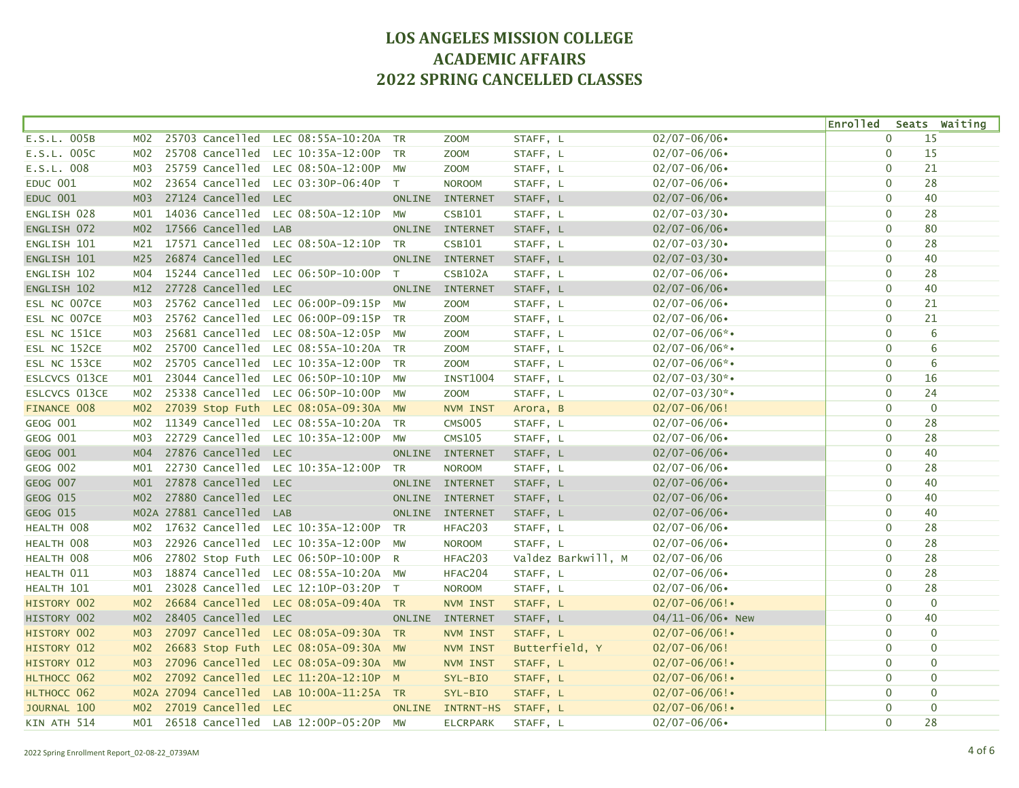|                      |                  |                      |                                      |                |                  |                    |                     | <b>Enrolled</b> |              | Seats Waiting  |
|----------------------|------------------|----------------------|--------------------------------------|----------------|------------------|--------------------|---------------------|-----------------|--------------|----------------|
| E.S.L. 005B          | M02              | 25703 Cancelled      | LEC 08:55A-10:20A                    | <b>TR</b>      | Z00M             | STAFF, L           | $02/07 - 06/06$     |                 | $\mathbf{0}$ | 15             |
| E.S.L. 005C          | M02              | 25708 Cancelled      | LEC 10:35A-12:00P                    | <b>TR</b>      | Z00M             | STAFF, L           | $02/07 - 06/06$     |                 | $\mathbf 0$  | 15             |
| E.S.L. 008           | M03              | 25759 Cancelled      | LEC 08:50A-12:00P                    | MW             | <b>ZOOM</b>      | STAFF, L           | $02/07 - 06/06$     |                 | $\mathbf 0$  | 21             |
| <b>EDUC 001</b>      | MO2              | 23654 Cancelled      | LEC 03:30P-06:40P                    | T              | <b>NOROOM</b>    | STAFF, L           | $02/07 - 06/06$     |                 | $\mathbf 0$  | 28             |
| <b>EDUC 001</b>      | M <sub>03</sub>  | 27124 Cancelled      | <b>LEC</b>                           | <b>ONLINE</b>  | <b>INTERNET</b>  | STAFF, L           | $02/07 - 06/06$     |                 | $\mathbf 0$  | 40             |
| ENGLISH 028          | M01              | 14036 Cancelled      | LEC 08:50A-12:10P                    | MW             | <b>CSB101</b>    | STAFF, L           | $02/07 - 03/30$     |                 | $\mathbf{0}$ | 28             |
| ENGLISH 072          | M <sub>02</sub>  | 17566 Cancelled      | LAB                                  |                | ONLINE INTERNET  | STAFF, L           | $02/07 - 06/06$     |                 | $\mathbf 0$  | 80             |
| ENGLISH 101          | M21              | 17571 Cancelled      | LEC 08:50A-12:10P                    | <b>TR</b>      | <b>CSB101</b>    | STAFF, L           | $02/07 - 03/30$     |                 | $\mathbf 0$  | 28             |
| ENGLISH 101          | M <sub>25</sub>  | 26874 Cancelled      | <b>LEC</b>                           | <b>ONLINE</b>  | <b>INTERNET</b>  | STAFF, L           | $02/07 - 03/30$     |                 | $\Omega$     | 40             |
| ENGLISH 102          | M04              | 15244 Cancelled      | LEC 06:50P-10:00P                    | T              | <b>CSB102A</b>   | STAFF, L           | $02/07 - 06/06$     |                 | $\mathbf 0$  | 28             |
| ENGLISH 102          | M12              | 27728 Cancelled      | <b>LEC</b>                           | <b>ONLINE</b>  | <b>INTERNET</b>  | STAFF, L           | $02/07 - 06/06$     |                 | $\mathbf 0$  | 40             |
| ESL NC 007CE         | M03              | 25762 Cancelled      | LEC 06:00P-09:15P                    | <b>MW</b>      | Z00M             | STAFF, L           | $02/07 - 06/06$     |                 | $\mathbf 0$  | 21             |
| ESL NC 007CE         | M03              | 25762 Cancelled      | LEC 06:00P-09:15P                    | <b>TR</b>      | Z00M             | STAFF, L           | $02/07 - 06/06$     |                 | $\mathbf 0$  | 21             |
| ESL NC 151CE         | M03              | 25681 Cancelled      | LEC 08:50A-12:05P                    | <b>MW</b>      | <b>ZOOM</b>      | STAFF, L           | $02/07 - 06/06$ *•  |                 | $\mathbf 0$  | 6              |
| ESL NC 152CE         | MO2              | 25700 Cancelled      | LEC 08:55A-10:20A TR                 |                | <b>ZOOM</b>      | STAFF, L           | $02/07 - 06/06$ *•  |                 | $\Omega$     | 6              |
| ESL NC 153CE         | M02              | 25705 Cancelled      | LEC 10:35A-12:00P                    | <b>TR</b>      | <b>ZOOM</b>      | STAFF, L           | $02/07 - 06/06$ *•  |                 | $\mathbf{0}$ | 6              |
| <b>ESLCVCS 013CE</b> | MO1              | 23044 Cancelled      | LEC 06:50P-10:10P                    | MW             | <b>INST1004</b>  | STAFF, L           | $02/07 - 03/30$ *•  |                 | $\mathbf 0$  | 16             |
| <b>ESLCVCS 013CE</b> | MO2              | 25338 Cancelled      | LEC 06:50P-10:00P                    | <b>MW</b>      | <b>ZOOM</b>      | STAFF, L           | $02/07 - 03/30$ *•  |                 | $\mathbf 0$  | 24             |
| FINANCE 008          | M <sub>02</sub>  | 27039 Stop Futh      | LEC 08:05A-09:30A MW                 |                | NVM INST         | Arora, B           | $02/07 - 06/06!$    |                 | $\mathbf 0$  | $\overline{0}$ |
| <b>GEOG 001</b>      | MO2              | 11349 Cancelled      | LEC 08:55A-10:20A TR                 |                | <b>CMS005</b>    | STAFF, L           | $02/07 - 06/06$     |                 | $\mathbf{0}$ | 28             |
| GEOG 001             | M03              | 22729 Cancelled      | LEC 10:35A-12:00P                    | MW             | <b>CMS105</b>    | STAFF, L           | $02/07 - 06/06$     |                 | $\mathbf 0$  | 28             |
| <b>GEOG 001</b>      | MO4              | 27876 Cancelled LEC  |                                      |                | ONLINE INTERNET  | STAFF, L           | $02/07 - 06/06$     |                 | $\mathbf 0$  | 40             |
| GEOG 002             | MO1              | 22730 Cancelled      | LEC 10:35A-12:00P                    | TR             | <b>NOROOM</b>    | STAFF, L           | $02/07 - 06/06$     |                 | $\mathbf 0$  | 28             |
| GEOG 007             | MO1              | 27878 Cancelled      | <b>LEC</b>                           | ONLINE         | <b>INTERNET</b>  | STAFF, L           | $02/07 - 06/06$     |                 | $\mathbf 0$  | 40             |
| GEOG 015             | M <sub>02</sub>  | 27880 Cancelled      | <b>LEC</b>                           |                | ONLINE INTERNET  | STAFF, L           | $02/07 - 06/06$     |                 | $\Omega$     | 40             |
| <b>GEOG 015</b>      |                  | MO2A 27881 Cancelled | <b>LAB</b>                           | <b>ONLINE</b>  | <b>INTERNET</b>  | STAFF, L           | $02/07 - 06/06$     |                 | $\mathbf{0}$ | 40             |
| HEALTH 008           | M02              | 17632 Cancelled      | LEC 10:35A-12:00P                    | <b>TR</b>      | HFAC203          | STAFF, L           | $02/07 - 06/06$     |                 | $\mathbf 0$  | 28             |
| HEALTH 008           | M03              | 22926 Cancelled      | LEC 10:35A-12:00P                    | MW             | <b>NOROOM</b>    | STAFF, L           | $02/07 - 06/06$     |                 | $\mathbf 0$  | 28             |
| HEALTH 008           | M06              | 27802 Stop Futh      | LEC 06:50P-10:00P                    | $\overline{R}$ | HFAC203          | Valdez Barkwill, M | $02/07 - 06/06$     |                 | $\mathbf 0$  | 28             |
| HEALTH 011           | M <sub>0</sub> 3 | 18874 Cancelled      | LEC 08:55A-10:20A                    | <b>MW</b>      | HFAC204          | STAFF, L           | $02/07 - 06/06$     |                 | $\mathbf 0$  | 28             |
| HEALTH 101           | MO1              | 23028 Cancelled      | LEC 12:10P-03:20P                    | T              | <b>NOROOM</b>    | STAFF, L           | $02/07 - 06/06$     |                 | $\mathbf{0}$ | 28             |
| HISTORY 002          | M <sub>02</sub>  | 26684 Cancelled      | LEC 08:05A-09:40A TR                 |                | NVM INST         | STAFF, L           | $02/07 - 06/06!$    |                 | $\mathbf 0$  | $\mathbf 0$    |
| HISTORY 002          | M <sub>02</sub>  | 28405 Cancelled      | <b>LEC</b>                           | <b>ONLINE</b>  | <b>INTERNET</b>  | STAFF, L           | $04/11 - 06/06$ New |                 | $\mathbf 0$  | 40             |
| HISTORY 002          | MO <sub>3</sub>  | 27097 Cancelled      | LEC 08:05A-09:30A TR                 |                | NVM INST         | STAFF, L           | $02/07 - 06/06!$    |                 | $\mathbf{0}$ | $\mathbf 0$    |
| HISTORY 012          | MO <sub>2</sub>  | 26683 Stop Futh      | LEC 08:05A-09:30A MW                 |                | NVM INST         | Butterfield, Y     | $02/07 - 06/06!$    |                 | $\mathbf 0$  | $\mathbf 0$    |
| HISTORY 012          | M <sub>0</sub> 3 | 27096 Cancelled      | LEC 08:05A-09:30A MW                 |                | NVM INST         | STAFF, L           | $02/07 - 06/06!$    |                 | $\mathbf 0$  | $\mathbf 0$    |
| HLTHOCC 062          | MO2              | 27092 Cancelled      | LEC 11:20A-12:10P M                  |                | SYL-BIO          | STAFF, L           | $02/07 - 06/06!$    |                 | $\mathbf 0$  | $\mathbf 0$    |
| HLTHOCC 062          |                  | MO2A 27094 Cancelled | LAB 10:00A-11:25A TR                 |                | SYL-BIO          | STAFF, L           | $02/07 - 06/06!$    |                 | $\mathbf 0$  | $\mathbf 0$    |
| JOURNAL 100          | M <sub>02</sub>  | 27019 Cancelled      | <b>LEC</b>                           | <b>ONLINE</b>  | <b>INTRNT-HS</b> | STAFF, L           | $02/07 - 06/06!$    |                 | $\mathbf 0$  | $\mathbf 0$    |
| KIN ATH 514          | MO1              |                      | 26518 Cancelled LAB 12:00P-05:20P MW |                | <b>ELCRPARK</b>  | STAFF, L           | $02/07 - 06/06$     |                 | $\mathbf 0$  | 28             |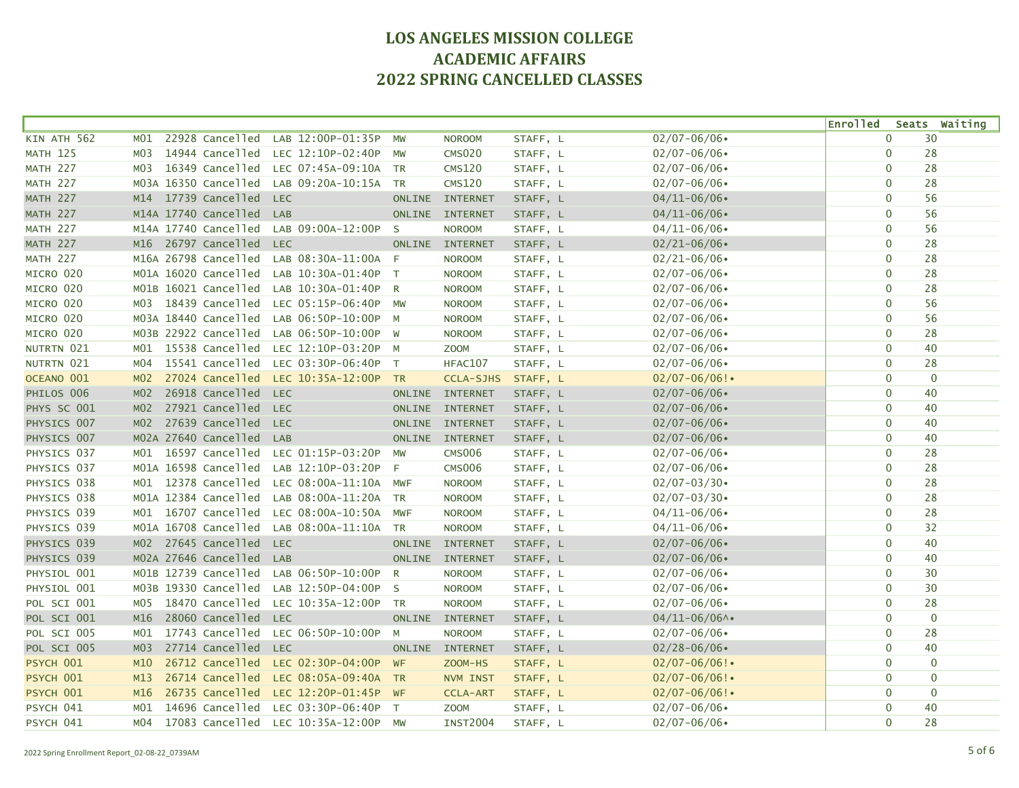|                 |                 |                      |                                      |               |                  |          |                  | <b>Enrolled</b> |              | Seats Waiting  |
|-----------------|-----------------|----------------------|--------------------------------------|---------------|------------------|----------|------------------|-----------------|--------------|----------------|
| KIN ATH 562     | M01             | 22928 Cancelled      | LAB 12:00P-01:35P                    | MW            | <b>NOROOM</b>    | STAFF, L | $02/07 - 06/06$  |                 | $\mathbf{0}$ | 30             |
| <b>MATH 125</b> | MO3             | 14944 Cancelled      | LEC 12:10P-02:40P                    | <b>MW</b>     | <b>CMS020</b>    | STAFF, L | $02/07 - 06/06$  |                 | $\mathbf 0$  | 28             |
| <b>MATH 227</b> | MO3             | 16349 Cancelled      | LEC 07:45A-09:10A                    | <b>TR</b>     | <b>CMS120</b>    | STAFF, L | $02/07 - 06/06$  |                 | $\mathbf 0$  | 28             |
| <b>MATH 227</b> |                 | MO3A 16350 Cancelled | LAB 09:20A-10:15A                    | <b>TR</b>     | <b>CMS120</b>    | STAFF, L | $02/07 - 06/06$  |                 | $\mathbf 0$  | 28             |
| <b>MATH 227</b> |                 | M14 17739 Cancelled  | <b>LEC</b>                           | <b>ONLINE</b> | <b>INTERNET</b>  | STAFF, L | $04/11 - 06/06$  |                 | $\mathbf 0$  | 56             |
| <b>MATH 227</b> |                 | M14A 17740 Cancelled | LAB                                  | <b>ONLINE</b> | <b>INTERNET</b>  | STAFF, L | $04/11 - 06/06$  |                 | $\mathbf 0$  | 56             |
| <b>MATH 227</b> |                 | M14A 17740 Cancelled | LAB 09:00A-12:00P                    | - S           | <b>NOROOM</b>    | STAFF, L | $04/11 - 06/06$  |                 | $\mathbf 0$  | 56             |
| MATH 227        |                 | M16 26797 Cancelled  | <b>LEC</b>                           | <b>ONLINE</b> | <b>INTERNET</b>  | STAFF, L | $02/21 - 06/06$  |                 | $\mathbf 0$  | 28             |
| <b>MATH 227</b> |                 | M16A 26798 Cancelled | LAB 08:30A-11:00A                    | - F           | <b>NOROOM</b>    | STAFF, L | $02/21 - 06/06$  |                 | $\mathbf 0$  | 28             |
| MICRO 020       |                 | M01A 16020 Cancelled | LAB 10:30A-01:40P                    | $\top$        | <b>NOROOM</b>    | STAFF, L | $02/07 - 06/06$  |                 | $\mathbf 0$  | 28             |
| MICRO 020       |                 | MO1B 16021 Cancelled | LAB 10:30A-01:40P                    | $\mathsf{R}$  | <b>NOROOM</b>    | STAFF, L | $02/07 - 06/06$  |                 | $\mathbf 0$  | 28             |
| MICRO 020       | MO3             | 18439 Cancelled      | LEC 05:15P-06:40P                    | MW            | <b>NOROOM</b>    | STAFF, L | $02/07 - 06/06$  | $\mathbf 0$     |              | 56             |
| MICRO 020       |                 | M03A 18440 Cancelled | LAB 06:50P-10:00P                    | M             | <b>NOROOM</b>    | STAFF, L | $02/07 - 06/06$  |                 | $\mathbf 0$  | 56             |
| MICRO 020       |                 | MO3B 22922 Cancelled | LAB 06:50P-10:00P                    | W             | <b>NOROOM</b>    | STAFF, L | $02/07 - 06/06$  |                 | $\mathbf{0}$ | 28             |
| NUTRTN 021      |                 | M01 15538 Cancelled  | LEC 12:10P-03:20P M                  |               | <b>ZOOM</b>      | STAFF, L | $02/07 - 06/06$  |                 | $\mathbf 0$  | 40             |
| NUTRTN 021      | M04             | 15541 Cancelled      | LEC 03:30P-06:40P                    | $\top$        | HFAC107          | STAFF, L | $02/07 - 06/06$  |                 | $\mathbf 0$  | 28             |
| OCEANO 001      | MO2             | 27024 Cancelled      | LEC 10:35A-12:00P                    | TR            | <b>CCLA-SJHS</b> | STAFF, L | $02/07 - 06/06!$ | $\mathbf 0$     |              | $\overline{0}$ |
| PHILOS 006      | M <sub>02</sub> | 26918 Cancelled      | <b>LEC</b>                           | <b>ONLINE</b> | <b>INTERNET</b>  | STAFF, L | $02/07 - 06/06$  |                 | $\mathbf 0$  | 40             |
| PHYS SC 001     | MO2             | 27921 Cancelled      | <b>LEC</b>                           | <b>ONLINE</b> | <b>INTERNET</b>  | STAFF, L | $02/07 - 06/06$  |                 | $\mathbf 0$  | 40             |
| PHYSICS 007     |                 | M02 27639 Cancelled  | <b>LEC</b>                           | <b>ONLINE</b> | <b>INTERNET</b>  | STAFF, L | $02/07 - 06/06$  |                 | $\mathbf 0$  | 40             |
| PHYSICS 007     |                 | MO2A 27640 Cancelled | LAB                                  |               | ONLINE INTERNET  | STAFF, L | $02/07 - 06/06$  |                 | $\mathbf 0$  | 40             |
| PHYSICS 037     |                 | M01 16597 Cancelled  | LEC 01:15P-03:20P                    | <b>MW</b>     | <b>CMS006</b>    | STAFF, L | $02/07 - 06/06$  |                 | $\mathbf 0$  | 28             |
| PHYSICS 037     |                 | MO1A 16598 Cancelled | LAB 12:10P-03:20P                    | -F            | <b>CMS006</b>    | STAFF, L | $02/07 - 06/06$  |                 | $\mathbf 0$  | 28             |
| PHYSICS 038     |                 | M01 12378 Cancelled  | LEC 08:00A-11:10A MWF                |               | <b>NOROOM</b>    | STAFF, L | $02/07 - 03/30$  |                 | $\mathbf 0$  | 28             |
| PHYSICS 038     |                 | MO1A 12384 Cancelled | LAB 08:00A-11:20A                    | <b>TR</b>     | <b>NOROOM</b>    | STAFF, L | $02/07 - 03/30$  |                 | $\mathbf 0$  | 28             |
| PHYSICS 039     |                 | M01 16707 Cancelled  | LEC 08:00A-10:50A                    | <b>MWF</b>    | <b>NOROOM</b>    | STAFF, L | $04/11 - 06/06$  |                 | 0            | 28             |
| PHYSICS 039     |                 | MO1A 16708 Cancelled | LAB 08:00A-11:10A                    | <b>TR</b>     | <b>NOROOM</b>    | STAFF, L | $04/11 - 06/06$  |                 | $\mathbf 0$  | 32             |
| PHYSICS 039     |                 | M02 27645 Cancelled  | <b>LEC</b>                           | <b>ONLINE</b> | <b>INTERNET</b>  | STAFF, L | $02/07 - 06/06$  |                 | $\mathbf{0}$ | 40             |
| PHYSICS 039     |                 | MO2A 27646 Cancelled | LAB                                  | <b>ONLINE</b> | <b>INTERNET</b>  | STAFF, L | $02/07 - 06/06$  |                 | $\mathbf 0$  | 40             |
| PHYSIOL 001     |                 | M01B 12739 Cancelled | LAB 06:50P-10:00P                    | $\mathsf{R}$  | <b>NOROOM</b>    | STAFF, L | $02/07 - 06/06$  |                 | $\mathbf{0}$ | 30             |
| PHYSIOL 001     |                 | M03B 19330 Cancelled | LAB 12:50P-04:00P                    | $\mathsf{S}$  | <b>NOROOM</b>    | STAFF, L | $02/07 - 06/06$  |                 | $\mathbf{0}$ | 30             |
| POL SCI 001     | MO5             | 18470 Cancelled      | LEC 10:35A-12:00P                    | <b>TR</b>     | <b>NOROOM</b>    | STAFF, L | $02/07 - 06/06$  |                 | $\mathbf 0$  | 28             |
| POL SCI 001     | M16             | 28060 Cancelled      | <b>LEC</b>                           | <b>ONLINE</b> | <b>INTERNET</b>  | STAFF, L | $04/11 - 06/06$  |                 | $\mathbf 0$  | $\mathbf{0}$   |
| POL SCI 005     | MO1             | 17743 Cancelled      | LEC 06:50P-10:00P                    | M             | <b>NOROOM</b>    | STAFF, L | $02/07 - 06/06$  | $\mathbf 0$     |              | 28             |
| POL SCI 005     | M <sub>03</sub> | 27714 Cancelled      | <b>LEC</b>                           | <b>ONLINE</b> | <b>INTERNET</b>  | STAFF, L | $02/28 - 06/06$  |                 | $\mathbf 0$  | 40             |
| PSYCH 001       | M10             | 26712 Cancelled      | LEC 02:30P-04:00P                    | WF            | ZOOM-HS          | STAFF, L | $02/07 - 06/06!$ |                 | $\mathbf 0$  | $\mathbf{0}$   |
| PSYCH 001       | M13             | 26714 Cancelled      | LEC 08:05A-09:40A TR                 |               | NVM INST         | STAFF, L | $02/07 - 06/06!$ |                 | $\mathbf 0$  | $\mathbf 0$    |
| PSYCH 001       | M16             | 26735 Cancelled      | LEC 12:20P-01:45P WF                 |               | <b>CCLA-ART</b>  | STAFF, L | $02/07 - 06/06!$ |                 | $\mathbf 0$  | $\mathbf 0$    |
| PSYCH 041       | M01             | 14696 Cancelled      | LEC 03:30P-06:40P                    | T             | <b>ZOOM</b>      | STAFF, L | $02/07 - 06/06$  |                 | $\mathbf 0$  | 40             |
| PSYCH 041       | M04             |                      | 17083 Cancelled LEC 10:35A-12:00P MW |               | <b>INST2004</b>  | STAFF, L | $02/07 - 06/06$  |                 | $\mathbf 0$  | 28             |